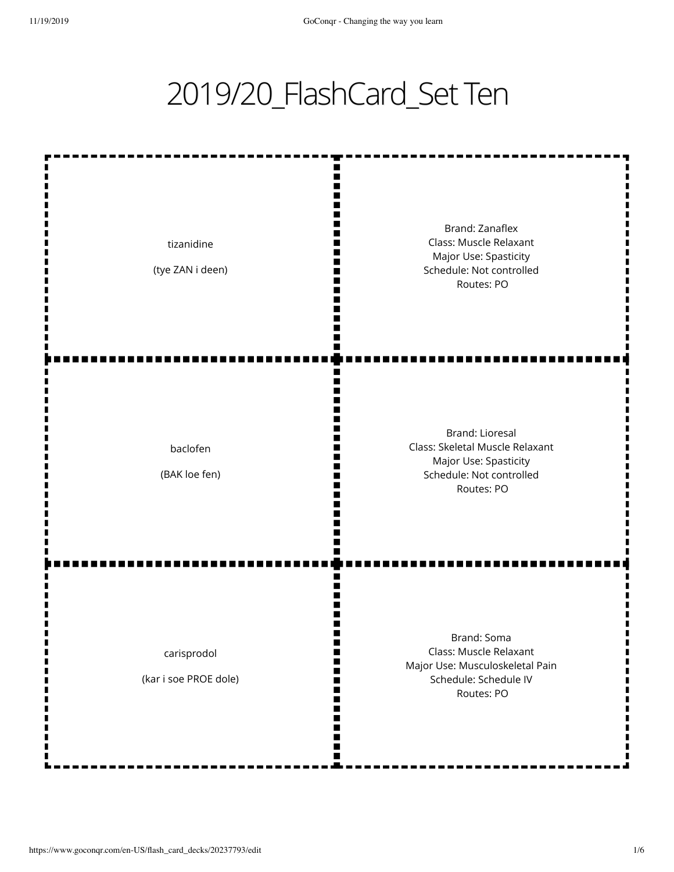## 2019/20\_FlashCard\_Set Ten

| tizanidine<br>(tye ZAN i deen)       | Brand: Zanaflex<br>Class: Muscle Relaxant<br>Major Use: Spasticity<br>Schedule: Not controlled<br>Routes: PO                 |
|--------------------------------------|------------------------------------------------------------------------------------------------------------------------------|
| baclofen<br>(BAK loe fen)            | <b>Brand: Lioresal</b><br>Class: Skeletal Muscle Relaxant<br>Major Use: Spasticity<br>Schedule: Not controlled<br>Routes: PO |
| carisprodol<br>(kar i soe PROE dole) | Brand: Soma<br>Class: Muscle Relaxant<br>Major Use: Musculoskeletal Pain<br>Schedule: Schedule IV<br>Routes: PO              |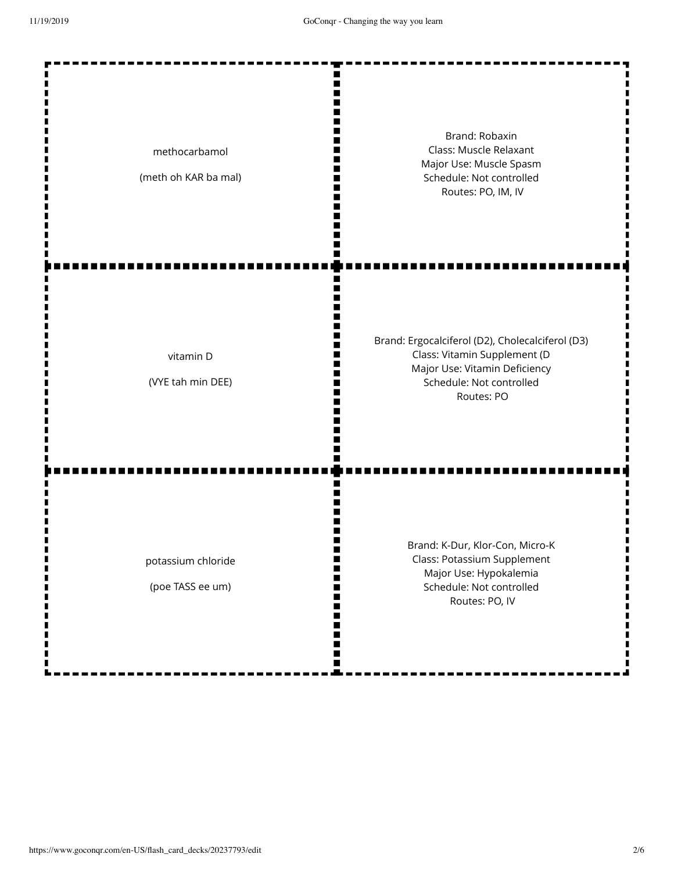| methocarbamol<br>(meth oh KAR ba mal)  | Brand: Robaxin<br>Class: Muscle Relaxant<br>Major Use: Muscle Spasm<br>Schedule: Not controlled<br>Routes: PO, IM, IV                                       |
|----------------------------------------|-------------------------------------------------------------------------------------------------------------------------------------------------------------|
| vitamin D<br>(VYE tah min DEE)         | Brand: Ergocalciferol (D2), Cholecalciferol (D3)<br>Class: Vitamin Supplement (D<br>Major Use: Vitamin Deficiency<br>Schedule: Not controlled<br>Routes: PO |
| potassium chloride<br>(poe TASS ee um) | Brand: K-Dur, Klor-Con, Micro-K<br>Class: Potassium Supplement<br>Major Use: Hypokalemia<br>Schedule: Not controlled<br>Routes: PO, IV                      |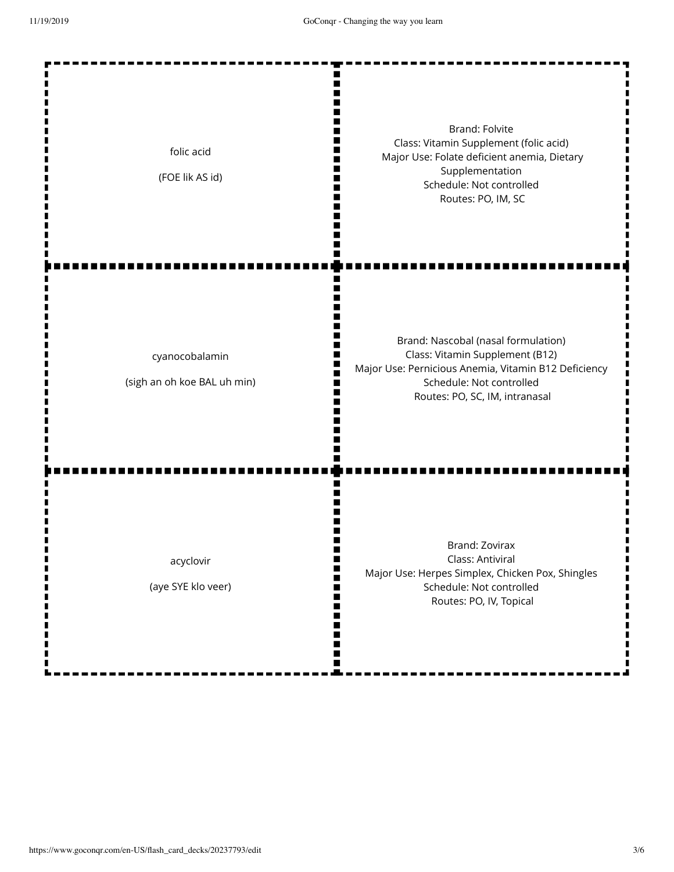| folic acid<br>(FOE lik AS id)                 | <b>Brand: Folvite</b><br>Class: Vitamin Supplement (folic acid)<br>Major Use: Folate deficient anemia, Dietary<br>Supplementation<br>Schedule: Not controlled<br>Routes: PO, IM, SC          |
|-----------------------------------------------|----------------------------------------------------------------------------------------------------------------------------------------------------------------------------------------------|
| cyanocobalamin<br>(sigh an oh koe BAL uh min) | Brand: Nascobal (nasal formulation)<br>Class: Vitamin Supplement (B12)<br>Major Use: Pernicious Anemia, Vitamin B12 Deficiency<br>Schedule: Not controlled<br>Routes: PO, SC, IM, intranasal |
| acyclovir<br>(aye SYE klo veer)               | Brand: Zovirax<br>Class: Antiviral<br>Major Use: Herpes Simplex, Chicken Pox, Shingles<br>Schedule: Not controlled<br>Routes: PO, IV, Topical                                                |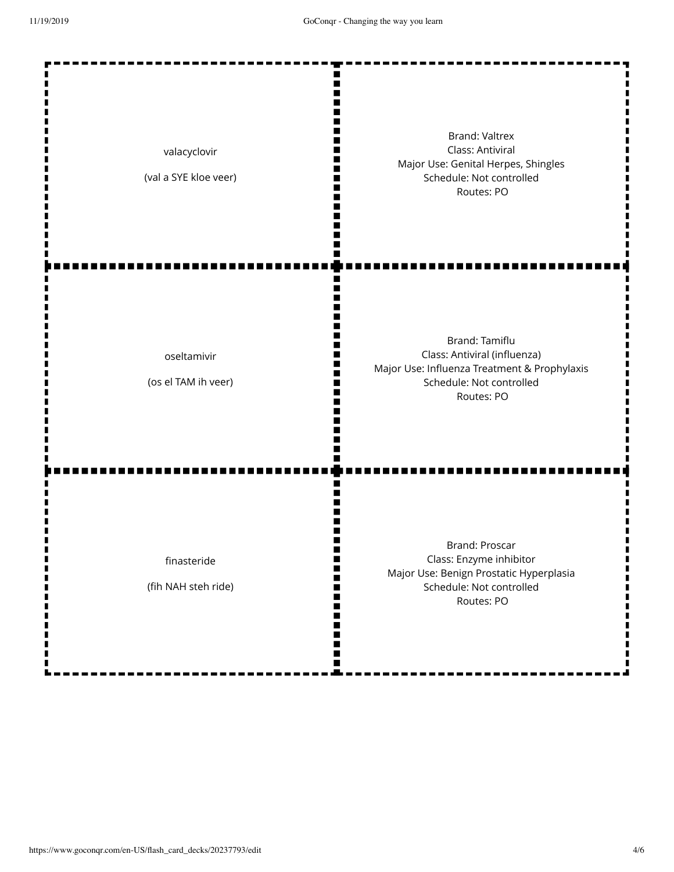| valacyclovir<br>(val a SYE kloe veer) | <b>Brand: Valtrex</b><br>Class: Antiviral<br>Major Use: Genital Herpes, Shingles<br>Schedule: Not controlled<br>Routes: PO               |
|---------------------------------------|------------------------------------------------------------------------------------------------------------------------------------------|
| oseltamivir<br>(os el TAM ih veer)    | Brand: Tamiflu<br>Class: Antiviral (influenza)<br>Major Use: Influenza Treatment & Prophylaxis<br>Schedule: Not controlled<br>Routes: PO |
| finasteride<br>(fih NAH steh ride)    | Brand: Proscar<br>Class: Enzyme inhibitor<br>Major Use: Benign Prostatic Hyperplasia<br>Schedule: Not controlled<br>Routes: PO           |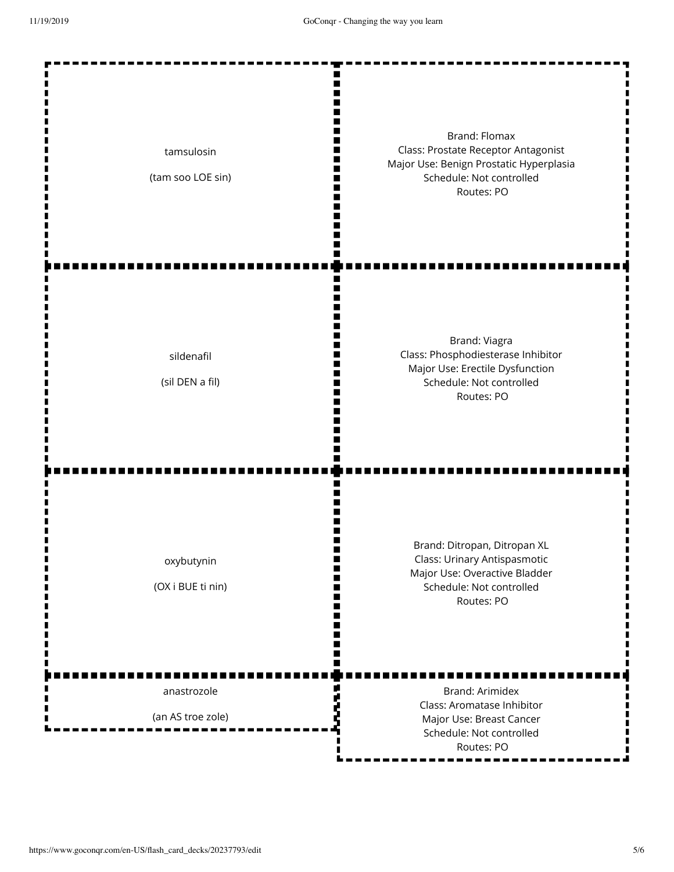